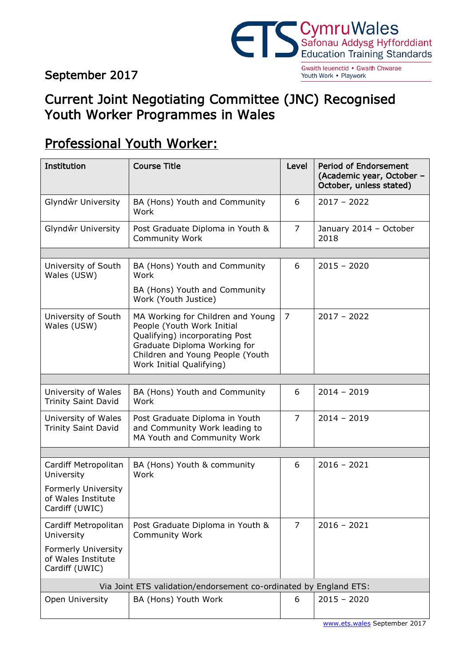#### September 2017



Gwaith leuenctid . Gwaith Chwarae Youth Work . Playwork

### Current Joint Negotiating Committee (JNC) Recognised Youth Worker Programmes in Wales

## Professional Youth Worker:

| Institution                                                        | <b>Course Title</b>                                                                                                                                                                               | Level          | <b>Period of Endorsement</b><br>(Academic year, October -<br>October, unless stated) |  |  |  |  |
|--------------------------------------------------------------------|---------------------------------------------------------------------------------------------------------------------------------------------------------------------------------------------------|----------------|--------------------------------------------------------------------------------------|--|--|--|--|
| Glyndŵr University                                                 | BA (Hons) Youth and Community<br>Work                                                                                                                                                             | 6              | $2017 - 2022$                                                                        |  |  |  |  |
| Glyndŵr University                                                 | Post Graduate Diploma in Youth &<br><b>Community Work</b>                                                                                                                                         | $\overline{7}$ | January 2014 - October<br>2018                                                       |  |  |  |  |
|                                                                    |                                                                                                                                                                                                   |                |                                                                                      |  |  |  |  |
| University of South<br>Wales (USW)                                 | BA (Hons) Youth and Community<br>Work                                                                                                                                                             | 6              | $2015 - 2020$                                                                        |  |  |  |  |
|                                                                    | BA (Hons) Youth and Community<br>Work (Youth Justice)                                                                                                                                             |                |                                                                                      |  |  |  |  |
| University of South<br>Wales (USW)                                 | MA Working for Children and Young<br>People (Youth Work Initial<br>Qualifying) incorporating Post<br>Graduate Diploma Working for<br>Children and Young People (Youth<br>Work Initial Qualifying) | $\overline{7}$ | $2017 - 2022$                                                                        |  |  |  |  |
|                                                                    |                                                                                                                                                                                                   |                |                                                                                      |  |  |  |  |
| University of Wales<br><b>Trinity Saint David</b>                  | BA (Hons) Youth and Community<br>Work                                                                                                                                                             | 6              | $2014 - 2019$                                                                        |  |  |  |  |
| University of Wales<br><b>Trinity Saint David</b>                  | Post Graduate Diploma in Youth<br>and Community Work leading to<br>MA Youth and Community Work                                                                                                    | $\overline{7}$ | $2014 - 2019$                                                                        |  |  |  |  |
|                                                                    |                                                                                                                                                                                                   |                |                                                                                      |  |  |  |  |
| Cardiff Metropolitan<br>University                                 | BA (Hons) Youth & community<br>Work                                                                                                                                                               | 6              | $2016 - 2021$                                                                        |  |  |  |  |
| <b>Formerly University</b><br>of Wales Institute<br>Cardiff (UWIC) |                                                                                                                                                                                                   |                |                                                                                      |  |  |  |  |
| Cardiff Metropolitan<br>University                                 | Post Graduate Diploma in Youth &<br><b>Community Work</b>                                                                                                                                         | $\overline{7}$ | $2016 - 2021$                                                                        |  |  |  |  |
| Formerly University<br>of Wales Institute<br>Cardiff (UWIC)        |                                                                                                                                                                                                   |                |                                                                                      |  |  |  |  |
| Via Joint ETS validation/endorsement co-ordinated by England ETS:  |                                                                                                                                                                                                   |                |                                                                                      |  |  |  |  |
| Open University                                                    | BA (Hons) Youth Work                                                                                                                                                                              | 6              | $2015 - 2020$                                                                        |  |  |  |  |
|                                                                    |                                                                                                                                                                                                   |                | www.ets.wales September 2017                                                         |  |  |  |  |